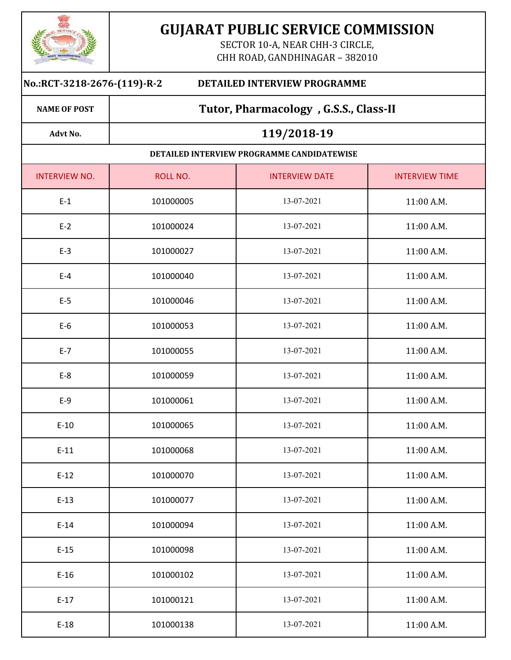

**NAME OF POST**

**Advt No.**

# **GUJARAT PUBLIC SERVICE COMMISSION**

SECTOR 10-A, NEAR CHH-3 CIRCLE, CHH ROAD, GANDHINAGAR - 382010

#### **No.:RCT‐3218‐2676‐(119)‐R‐2 DETAILED INTERVIEW PROGRAMME**

## **Tutor, Pharmacology , G.S.S., Class‐II**

## **119/2018‐19**

#### **DETAILED INTERVIEW PROGRAMME CANDIDATEWISE**

| <b>INTERVIEW NO.</b> | ROLL NO.  | <b>INTERVIEW DATE</b> | <b>INTERVIEW TIME</b> |
|----------------------|-----------|-----------------------|-----------------------|
| $E-1$                | 101000005 | 13-07-2021            | 11:00 A.M.            |
| $E-2$                | 101000024 | 13-07-2021            | 11:00 A.M.            |
| $E-3$                | 101000027 | 13-07-2021            | 11:00 A.M.            |
| $E-4$                | 101000040 | 13-07-2021            | 11:00 A.M.            |
| $E-5$                | 101000046 | 13-07-2021            | 11:00 A.M.            |
| $E-6$                | 101000053 | 13-07-2021            | 11:00 A.M.            |
| $E-7$                | 101000055 | 13-07-2021            | 11:00 A.M.            |
| $E-8$                | 101000059 | 13-07-2021            | 11:00 A.M.            |
| $E-9$                | 101000061 | 13-07-2021            | 11:00 A.M.            |
| $E-10$               | 101000065 | 13-07-2021            | 11:00 A.M.            |
| $E-11$               | 101000068 | 13-07-2021            | 11:00 A.M.            |
| $E-12$               | 101000070 | 13-07-2021            | 11:00 A.M.            |
| $E-13$               | 101000077 | 13-07-2021            | 11:00 A.M.            |
| $E-14$               | 101000094 | 13-07-2021            | 11:00 A.M.            |
| $E-15$               | 101000098 | 13-07-2021            | 11:00 A.M.            |
| $E-16$               | 101000102 | 13-07-2021            | 11:00 A.M.            |
| $E-17$               | 101000121 | 13-07-2021            | 11:00 A.M.            |
| $E-18$               | 101000138 | 13-07-2021            | 11:00 A.M.            |